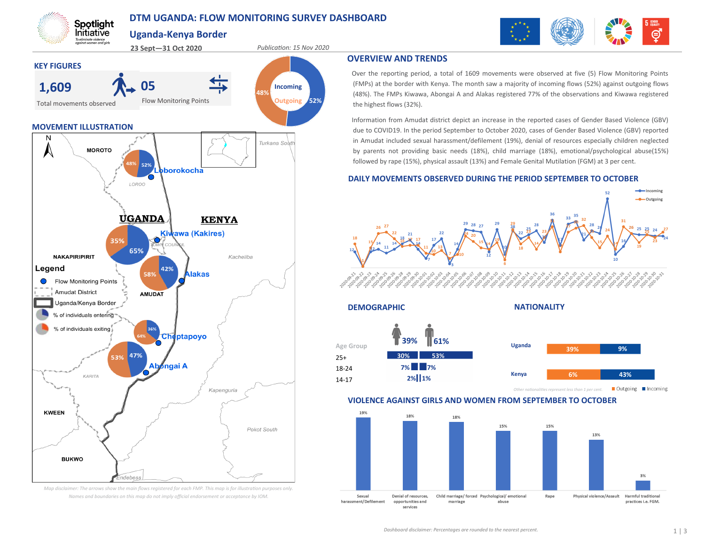# **DTM UGANDA: FLOW MONITORING SURVEY DASHBOARD**

**40%**

**31%**

**48%**

Turkana Sowi

**Uganda-Kenya Border**

Flow Monitoring Points

 $$ 

**Kiwawa (Kakires)** 

**Nakas** 

Cheptapoyo

,<br>Ingai A

42%

**KENYA** 

Kapenguria

Pokot South

Kacheliba

 **05**

52%

LOROO

**UGANDA** 

65%

47% 53%

idebess

58%

**AMUDAT** 

Ab

35%

**MOVEMENT ILLUSTRATION**

**MOROTO** 

Spotlight Initiative To eliminate violence<br>gaginst women and girls

Total movements observed

**NAKAPIRIPIRIT** 

• Flow Monitoring Points **Amudat District** 

> Uganda/Kenya Border % of individuals entering % of individuals exiting

> > KARITA

Legend

**KWEEN** 

**BUKWO** 

**KEY FIGURES**

**1,609**

**23 Sept—31 Oct 2020** *Publication: 15 Nov 2020*

**Incoming Outgoing**

**52%**



## **OVERVIEW AND TRENDS**

Over the reporting period, a total of 1609 movements were observed at five (5) Flow Monitoring Points (FMPs) at the border with Kenya. The month saw a majority of incoming flows (52%) against outgoing flows (48%). The FMPs Kiwawa, Abongai A and Alakas registered 77% of the observations and Kiwawa registered the highest flows (32%).

Information from Amudat district depict an increase in the reported cases of Gender Based Violence (GBV) due to COVID19. In the period September to October 2020, cases of Gender Based Violence (GBV) reported in Amudat included sexual harassment/defilement (19%), denial of resources especially children neglected by parents not providing basic needs (18%), child marriage (18%), emotional/psychological abuse(15%) followed by rape (15%), physical assault (13%) and Female Genital Mutilation (FGM) at 3 per cent.

### **DAILY MOVEMENTS OBSERVED DURING THE PERIOD SEPTEMBER TO OCTOBER**



Child marriage/forced Psychological/emotional

abuse

*Map disclaimer: The arrows show the main flows registered for each FMP. This map is for illustration purposes only. Names and boundaries on this map do not imply official endorsement or acceptance by IOM.* harassment/Defilement

marriage

Sexual

Denial of resources.

opportunities and

services

Physical violence/Assault

Rape

Harmful traditional

practices i.e. FGM.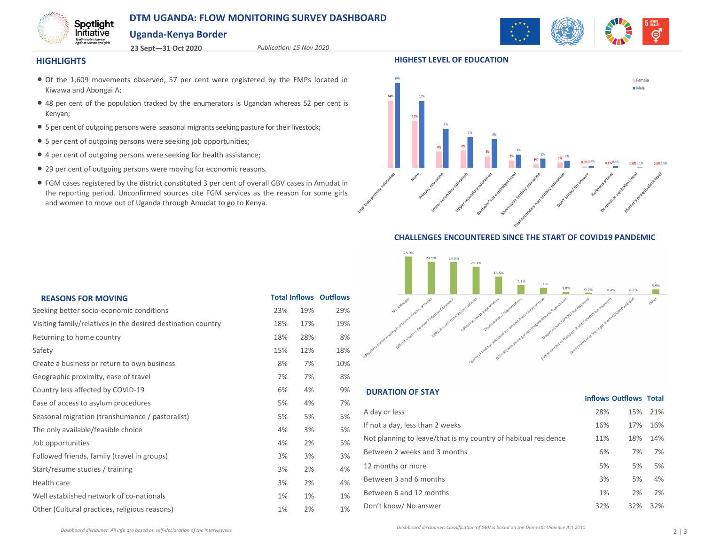# **DTM UGANDA: FLOW MONITORING SURVEY DASHBOARD**

**23 Sept—31 Oct 2020** *Publication: 15 Nov 2020*

# **Uganda-Kenya Border**



#### **HIGHLIGHTS**

Spotlight Initiative To eliminate violence<br>against women and girls

- Of the 1,609 movements observed, 57 per cent were registered by the FMPs located in Kiwawa and Abongai A;
- 48 per cent of the population tracked by the enumerators is Ugandan whereas 52 per cent is Kenyan;
- 5 per cent of outgoing persons were seasonal migrants seeking pasture for their livestock;
- 5 per cent of outgoing persons were seeking job opportunities;
- 4 per cent of outgoing persons were seeking for health assistance;
- 29 per cent of outgoing persons were moving for economic reasons.
- FGM cases registered by the district constituted 3 per cent of overall GBV cases in Amudat in the reporting period. Unconfirmed sources cite FGM services as the reason for some girls and women to move out of Uganda through Amudat to go to Kenya.



**HIGHEST LEVEL OF EDUCATION**

## **CHALLENGES ENCOUNTERED SINCE THE START OF COVID19 PANDEMIC**



| <b>REASONS FOR MOVING</b>                                    |     |       | <b>Total Inflows Outflows</b> |
|--------------------------------------------------------------|-----|-------|-------------------------------|
| Seeking better socio-economic conditions                     | 23% | 19%   | 29%                           |
| Visiting family/relatives in the desired destination country | 18% | 17%   | 19%                           |
| Returning to home country                                    | 18% | 28%   | 8%                            |
| Safety                                                       | 15% | 12%   | 18%                           |
| Create a business or return to own business                  | 8%  | 7%    | 10%                           |
| Geographic proximity, ease of travel                         | 7%  | 7%    | 8%                            |
| Country less affected by COVID-19                            | 6%  | 4%    | 9%                            |
| Ease of access to asylum procedures                          | 5%  | 4%    | 7%                            |
| Seasonal migration (transhumance / pastoralist)              | 5%  | 5%    | 5%                            |
| The only available/feasible choice                           | 4%  | 3%    | 5%                            |
| Job opportunities                                            | 4%  | 2%    | 5%                            |
| Followed friends, family (travel in groups)                  | 3%  | 3%    | 3%                            |
| Start/resume studies / training                              | 3%  | 2%    | 4%                            |
| Health care                                                  | 3%  | 2%    | 4%                            |
| Well established network of co-nationals                     | 1%  | $1\%$ | 1%                            |
| Other (Cultural practices, religious reasons)                | 1%  | 2%    | 1%                            |

## **DURATION OF STAY**

| A day or less                                                  | 28% | 15% | 21% |  |
|----------------------------------------------------------------|-----|-----|-----|--|
| If not a day, less than 2 weeks                                | 16% | 17% | 16% |  |
| Not planning to leave/that is my country of habitual residence | 11% | 18% | 14% |  |
| Between 2 weeks and 3 months                                   | 6%  | 7%  | 7%  |  |
| 12 months or more                                              | 5%  | 5%  | 5%  |  |
| Between 3 and 6 months                                         | 3%  | 5%  | 4%  |  |
| Between 6 and 12 months                                        | 1%  | 2%  | 2%  |  |
| Don't know/ No answer                                          | 32% | 32% | 32% |  |

**Inflows Outflows Total**